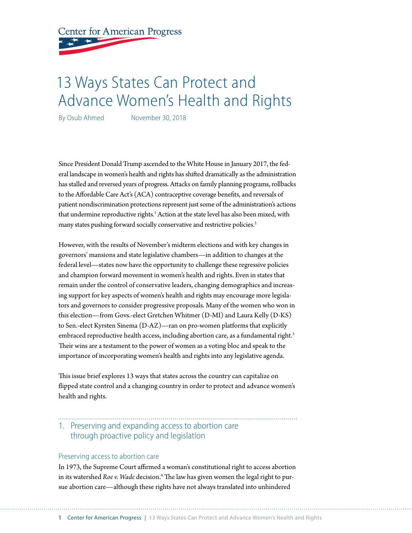**Center for American Progress** 

# 13 Ways States Can Protect and Advance Women's Health and Rights

By Osub Ahmed November 30, 2018

Since President Donald Trump ascended to the White House in January 2017, the federal landscape in women's health and rights has shifted dramatically as the administration has stalled and reversed years of progress. Attacks on family planning programs, rollbacks to the Affordable Care Act's (ACA) contraceptive coverage benefits, and reversals of patient nondiscrimination protections represent just some of the administration's actions that undermine reproductive rights.<sup>1</sup> Action at the state level has also been mixed, with many states pushing forward socially conservative and restrictive policies.<sup>2</sup>

However, with the results of November's midterm elections and with key changes in governors' mansions and state legislative chambers—in addition to changes at the federal level—states now have the opportunity to challenge these regressive policies and champion forward movement in women's health and rights. Even in states that remain under the control of conservative leaders, changing demographics and increasing support for key aspects of women's health and rights may encourage more legislators and governors to consider progressive proposals. Many of the women who won in this election—from Govs.-elect Gretchen Whitmer (D-MI) and Laura Kelly (D-KS) to Sen.-elect Kyrsten Sinema (D-AZ)—ran on pro-women platforms that explicitly embraced reproductive health access, including abortion care, as a fundamental right.<sup>3</sup> Their wins are a testament to the power of women as a voting bloc and speak to the importance of incorporating women's health and rights into any legislative agenda.

This issue brief explores 13 ways that states across the country can capitalize on flipped state control and a changing country in order to protect and advance women's health and rights.

### 1. Preserving and expanding access to abortion care through proactive policy and legislation

#### Preserving access to abortion care

In 1973, the Supreme Court affirmed a woman's constitutional right to access abortion in its watershed *Roe v. Wade* decision.<sup>4</sup> The law has given women the legal right to pursue abortion care—although these rights have not always translated into unhindered

1 Center for American Progress | 13 Ways States Can Protect and Advance Women's Health and Rights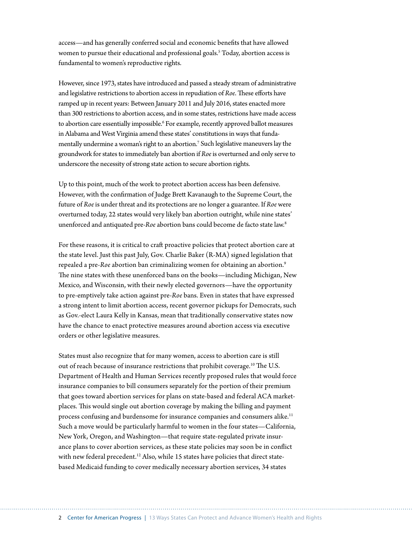access—and has generally conferred social and economic benefits that have allowed women to pursue their educational and professional goals.<sup>5</sup> Today, abortion access is fundamental to women's reproductive rights.

However, since 1973, states have introduced and passed a steady stream of administrative and legislative restrictions to abortion access in repudiation of *Roe*. These efforts have ramped up in recent years: Between January 2011 and July 2016, states enacted more than 300 restrictions to abortion access, and in some states, restrictions have made access to abortion care essentially impossible.<sup>6</sup> For example, recently approved ballot measures in Alabama and West Virginia amend these states' constitutions in ways that fundamentally undermine a woman's right to an abortion.7 Such legislative maneuvers lay the groundwork for states to immediately ban abortion if *Roe* is overturned and only serve to underscore the necessity of strong state action to secure abortion rights.

Up to this point, much of the work to protect abortion access has been defensive. However, with the confirmation of Judge Brett Kavanaugh to the Supreme Court, the future of *Roe* is under threat and its protections are no longer a guarantee. If *Roe* were overturned today, 22 states would very likely ban abortion outright, while nine states' unenforced and antiquated pre-*Roe* abortion bans could become de facto state law.8

For these reasons, it is critical to craft proactive policies that protect abortion care at the state level. Just this past July, Gov. Charlie Baker (R-MA) signed legislation that repealed a pre-*Roe* abortion ban criminalizing women for obtaining an abortion.9 The nine states with these unenforced bans on the books—including Michigan, New Mexico, and Wisconsin, with their newly elected governors—have the opportunity to pre-emptively take action against pre-*Roe* bans. Even in states that have expressed a strong intent to limit abortion access, recent governor pickups for Democrats, such as Gov.-elect Laura Kelly in Kansas, mean that traditionally conservative states now have the chance to enact protective measures around abortion access via executive orders or other legislative measures.

States must also recognize that for many women, access to abortion care is still out of reach because of insurance restrictions that prohibit coverage.<sup>10</sup> The U.S. Department of Health and Human Services recently proposed rules that would force insurance companies to bill consumers separately for the portion of their premium that goes toward abortion services for plans on state-based and federal ACA marketplaces. This would single out abortion coverage by making the billing and payment process confusing and burdensome for insurance companies and consumers alike.<sup>11</sup> Such a move would be particularly harmful to women in the four states—California, New York, Oregon, and Washington—that require state-regulated private insurance plans to cover abortion services, as these state policies may soon be in conflict with new federal precedent.<sup>12</sup> Also, while 15 states have policies that direct statebased Medicaid funding to cover medically necessary abortion services, 34 states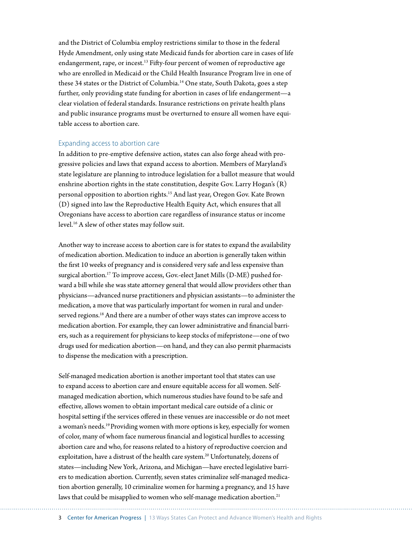and the District of Columbia employ restrictions similar to those in the federal Hyde Amendment, only using state Medicaid funds for abortion care in cases of life endangerment, rape, or incest.<sup>13</sup> Fifty-four percent of women of reproductive age who are enrolled in Medicaid or the Child Health Insurance Program live in one of these 34 states or the District of Columbia.14 One state, South Dakota, goes a step further, only providing state funding for abortion in cases of life endangerment—a clear violation of federal standards. Insurance restrictions on private health plans and public insurance programs must be overturned to ensure all women have equitable access to abortion care.

#### Expanding access to abortion care

In addition to pre-emptive defensive action, states can also forge ahead with progressive policies and laws that expand access to abortion. Members of Maryland's state legislature are planning to introduce legislation for a ballot measure that would enshrine abortion rights in the state constitution, despite Gov. Larry Hogan's (R) personal opposition to abortion rights.15 And last year, Oregon Gov. Kate Brown (D) signed into law the Reproductive Health Equity Act, which ensures that all Oregonians have access to abortion care regardless of insurance status or income level.16 A slew of other states may follow suit.

Another way to increase access to abortion care is for states to expand the availability of medication abortion. Medication to induce an abortion is generally taken within the first 10 weeks of pregnancy and is considered very safe and less expensive than surgical abortion.<sup>17</sup> To improve access, Gov.-elect Janet Mills (D-ME) pushed forward a bill while she was state attorney general that would allow providers other than physicians—advanced nurse practitioners and physician assistants—to administer the medication, a move that was particularly important for women in rural and underserved regions.<sup>18</sup> And there are a number of other ways states can improve access to medication abortion. For example, they can lower administrative and financial barriers, such as a requirement for physicians to keep stocks of mifepristone—one of two drugs used for medication abortion—on hand, and they can also permit pharmacists to dispense the medication with a prescription.

Self-managed medication abortion is another important tool that states can use to expand access to abortion care and ensure equitable access for all women. Selfmanaged medication abortion, which numerous studies have found to be safe and effective, allows women to obtain important medical care outside of a clinic or hospital setting if the services offered in these venues are inaccessible or do not meet a woman's needs.<sup>19</sup> Providing women with more options is key, especially for women of color, many of whom face numerous financial and logistical hurdles to accessing abortion care and who, for reasons related to a history of reproductive coercion and exploitation, have a distrust of the health care system.<sup>20</sup> Unfortunately, dozens of states—including New York, Arizona, and Michigan—have erected legislative barriers to medication abortion. Currently, seven states criminalize self-managed medication abortion generally, 10 criminalize women for harming a pregnancy, and 15 have laws that could be misapplied to women who self-manage medication abortion.<sup>21</sup>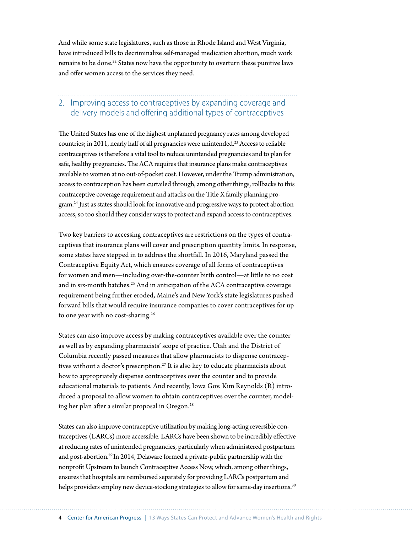And while some state legislatures, such as those in Rhode Island and West Virginia, have introduced bills to decriminalize self-managed medication abortion, much work remains to be done.<sup>22</sup> States now have the opportunity to overturn these punitive laws and offer women access to the services they need.

# 2. Improving access to contraceptives by expanding coverage and delivery models and offering additional types of contraceptives

The United States has one of the highest unplanned pregnancy rates among developed countries; in 2011, nearly half of all pregnancies were unintended.<sup>23</sup> Access to reliable contraceptives is therefore a vital tool to reduce unintended pregnancies and to plan for safe, healthy pregnancies. The ACA requires that insurance plans make contraceptives available to women at no out-of-pocket cost. However, under the Trump administration, access to contraception has been curtailed through, among other things, rollbacks to this contraceptive coverage requirement and attacks on the Title X family planning program.24 Just as states should look for innovative and progressive ways to protect abortion access, so too should they consider ways to protect and expand access to contraceptives.

Two key barriers to accessing contraceptives are restrictions on the types of contraceptives that insurance plans will cover and prescription quantity limits. In response, some states have stepped in to address the shortfall. In 2016, Maryland passed the Contraceptive Equity Act, which ensures coverage of all forms of contraceptives for women and men—including over-the-counter birth control—at little to no cost and in six-month batches.<sup>25</sup> And in anticipation of the ACA contraceptive coverage requirement being further eroded, Maine's and New York's state legislatures pushed forward bills that would require insurance companies to cover contraceptives for up to one year with no cost-sharing.<sup>26</sup>

States can also improve access by making contraceptives available over the counter as well as by expanding pharmacists' scope of practice. Utah and the District of Columbia recently passed measures that allow pharmacists to dispense contraceptives without a doctor's prescription.<sup>27</sup> It is also key to educate pharmacists about how to appropriately dispense contraceptives over the counter and to provide educational materials to patients. And recently, Iowa Gov. Kim Reynolds (R) introduced a proposal to allow women to obtain contraceptives over the counter, modeling her plan after a similar proposal in Oregon.28

States can also improve contraceptive utilization by making long-acting reversible contraceptives (LARCs) more accessible. LARCs have been shown to be incredibly effective at reducing rates of unintended pregnancies, particularly when administered postpartum and post-abortion.29 In 2014, Delaware formed a private-public partnership with the nonprofit Upstream to launch Contraceptive Access Now, which, among other things, ensures that hospitals are reimbursed separately for providing LARCs postpartum and helps providers employ new device-stocking strategies to allow for same-day insertions.<sup>30</sup>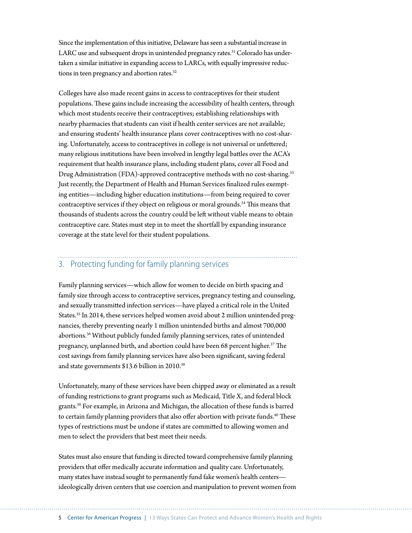Since the implementation of this initiative, Delaware has seen a substantial increase in LARC use and subsequent drops in unintended pregnancy rates.<sup>31</sup> Colorado has undertaken a similar initiative in expanding access to LARCs, with equally impressive reductions in teen pregnancy and abortion rates.<sup>32</sup>

Colleges have also made recent gains in access to contraceptives for their student populations. These gains include increasing the accessibility of health centers, through which most students receive their contraceptives; establishing relationships with nearby pharmacies that students can visit if health center services are not available; and ensuring students' health insurance plans cover contraceptives with no cost-sharing. Unfortunately, access to contraceptives in college is not universal or unfettered; many religious institutions have been involved in lengthy legal battles over the ACA's requirement that health insurance plans, including student plans, cover all Food and Drug Administration (FDA)-approved contraceptive methods with no cost-sharing.<sup>33</sup> Just recently, the Department of Health and Human Services finalized rules exempting entities—including higher education institutions—from being required to cover contraceptive services if they object on religious or moral grounds.<sup>34</sup> This means that thousands of students across the country could be left without viable means to obtain contraceptive care. States must step in to meet the shortfall by expanding insurance coverage at the state level for their student populations.

# 3. Protecting funding for family planning services

Family planning services—which allow for women to decide on birth spacing and family size through access to contraceptive services, pregnancy testing and counseling, and sexually transmitted infection services—have played a critical role in the United States.35 In 2014, these services helped women avoid about 2 million unintended pregnancies, thereby preventing nearly 1 million unintended births and almost 700,000 abortions.36 Without publicly funded family planning services, rates of unintended pregnancy, unplanned birth, and abortion could have been 68 percent higher.<sup>37</sup> The cost savings from family planning services have also been significant, saving federal and state governments \$13.6 billion in 2010.38

Unfortunately, many of these services have been chipped away or eliminated as a result of funding restrictions to grant programs such as Medicaid, Title X, and federal block grants.39 For example, in Arizona and Michigan, the allocation of these funds is barred to certain family planning providers that also offer abortion with private funds.<sup>40</sup> These types of restrictions must be undone if states are committed to allowing women and men to select the providers that best meet their needs.

States must also ensure that funding is directed toward comprehensive family planning providers that offer medically accurate information and quality care. Unfortunately, many states have instead sought to permanently fund fake women's health centers ideologically driven centers that use coercion and manipulation to prevent women from

5 Center for American Progress | 13 Ways States Can Protect and Advance Women's Health and Rights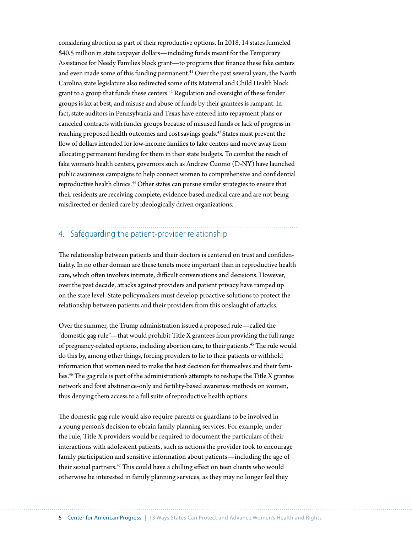considering abortion as part of their reproductive options. In 2018, 14 states funneled \$40.5 million in state taxpayer dollars—including funds meant for the Temporary Assistance for Needy Families block grant—to programs that finance these fake centers and even made some of this funding permanent.<sup>41</sup> Over the past several years, the North Carolina state legislature also redirected some of its Maternal and Child Health block grant to a group that funds these centers.<sup>42</sup> Regulation and oversight of these funder groups is lax at best, and misuse and abuse of funds by their grantees is rampant. In fact, state auditors in Pennsylvania and Texas have entered into repayment plans or canceled contracts with funder groups because of misused funds or lack of progress in reaching proposed health outcomes and cost savings goals.43 States must prevent the flow of dollars intended for low-income families to fake centers and move away from allocating permanent funding for them in their state budgets. To combat the reach of fake women's health centers, governors such as Andrew Cuomo (D-NY) have launched public awareness campaigns to help connect women to comprehensive and confidential reproductive health clinics.<sup>44</sup> Other states can pursue similar strategies to ensure that their residents are receiving complete, evidence-based medical care and are not being misdirected or denied care by ideologically driven organizations.

#### 4. Safeguarding the patient-provider relationship

The relationship between patients and their doctors is centered on trust and confidentiality. In no other domain are these tenets more important than in reproductive health care, which often involves intimate, difficult conversations and decisions. However, over the past decade, attacks against providers and patient privacy have ramped up on the state level. State policymakers must develop proactive solutions to protect the relationship between patients and their providers from this onslaught of attacks.

Over the summer, the Trump administration issued a proposed rule—called the "domestic gag rule"—that would prohibit Title X grantees from providing the full range of pregnancy-related options, including abortion care, to their patients.<sup>45</sup> The rule would do this by, among other things, forcing providers to lie to their patients or withhold information that women need to make the best decision for themselves and their families.46 The gag rule is part of the administration's attempts to reshape the Title X grantee network and foist abstinence-only and fertility-based awareness methods on women, thus denying them access to a full suite of reproductive health options.

The domestic gag rule would also require parents or guardians to be involved in a young person's decision to obtain family planning services. For example, under the rule, Title X providers would be required to document the particulars of their interactions with adolescent patients, such as actions the provider took to encourage family participation and sensitive information about patients—including the age of their sexual partners.<sup>47</sup> This could have a chilling effect on teen clients who would otherwise be interested in family planning services, as they may no longer feel they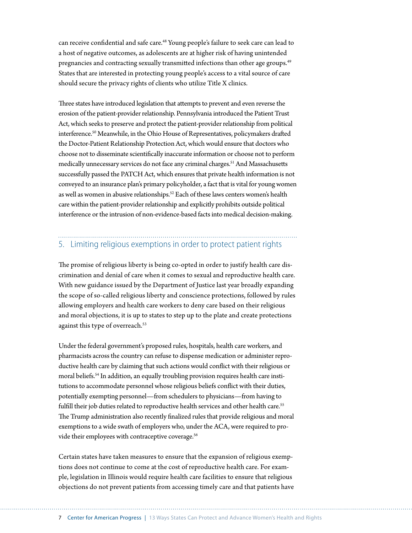can receive confidential and safe care.48 Young people's failure to seek care can lead to a host of negative outcomes, as adolescents are at higher risk of having unintended pregnancies and contracting sexually transmitted infections than other age groups.<sup>49</sup> States that are interested in protecting young people's access to a vital source of care should secure the privacy rights of clients who utilize Title X clinics.

Three states have introduced legislation that attempts to prevent and even reverse the erosion of the patient-provider relationship. Pennsylvania introduced the Patient Trust Act, which seeks to preserve and protect the patient-provider relationship from political interference.50 Meanwhile, in the Ohio House of Representatives, policymakers drafted the Doctor-Patient Relationship Protection Act, which would ensure that doctors who choose not to disseminate scientifically inaccurate information or choose not to perform medically unnecessary services do not face any criminal charges.<sup>51</sup> And Massachusetts successfully passed the PATCH Act, which ensures that private health information is not conveyed to an insurance plan's primary policyholder, a fact that is vital for young women as well as women in abusive relationships.<sup>52</sup> Each of these laws centers women's health care within the patient-provider relationship and explicitly prohibits outside political interference or the intrusion of non-evidence-based facts into medical decision-making.

#### 5. Limiting religious exemptions in order to protect patient rights

The promise of religious liberty is being co-opted in order to justify health care discrimination and denial of care when it comes to sexual and reproductive health care. With new guidance issued by the Department of Justice last year broadly expanding the scope of so-called religious liberty and conscience protections, followed by rules allowing employers and health care workers to deny care based on their religious and moral objections, it is up to states to step up to the plate and create protections against this type of overreach.<sup>53</sup>

Under the federal government's proposed rules, hospitals, health care workers, and pharmacists across the country can refuse to dispense medication or administer reproductive health care by claiming that such actions would conflict with their religious or moral beliefs.54 In addition, an equally troubling provision requires health care institutions to accommodate personnel whose religious beliefs conflict with their duties, potentially exempting personnel—from schedulers to physicians—from having to fulfill their job duties related to reproductive health services and other health care.<sup>55</sup> The Trump administration also recently finalized rules that provide religious and moral exemptions to a wide swath of employers who, under the ACA, were required to provide their employees with contraceptive coverage.<sup>56</sup>

Certain states have taken measures to ensure that the expansion of religious exemptions does not continue to come at the cost of reproductive health care. For example, legislation in Illinois would require health care facilities to ensure that religious objections do not prevent patients from accessing timely care and that patients have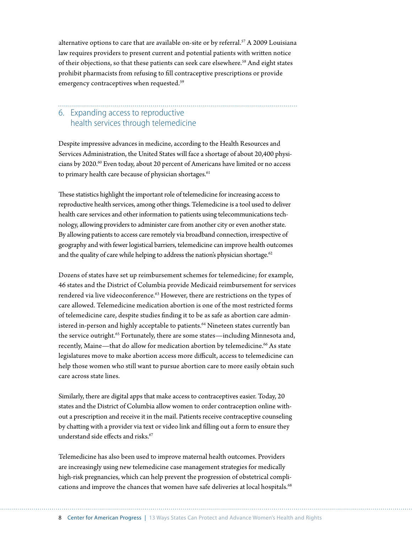alternative options to care that are available on-site or by referral.<sup>57</sup> A 2009 Louisiana law requires providers to present current and potential patients with written notice of their objections, so that these patients can seek care elsewhere.<sup>58</sup> And eight states prohibit pharmacists from refusing to fill contraceptive prescriptions or provide emergency contraceptives when requested.<sup>59</sup>

#### 6. Expanding access to reproductive health services through telemedicine

Despite impressive advances in medicine, according to the Health Resources and Services Administration, the United States will face a shortage of about 20,400 physicians by 2020.60 Even today, about 20 percent of Americans have limited or no access to primary health care because of physician shortages.<sup>61</sup>

These statistics highlight the important role of telemedicine for increasing access to reproductive health services, among other things. Telemedicine is a tool used to deliver health care services and other information to patients using telecommunications technology, allowing providers to administer care from another city or even another state. By allowing patients to access care remotely via broadband connection, irrespective of geography and with fewer logistical barriers, telemedicine can improve health outcomes and the quality of care while helping to address the nation's physician shortage.<sup>62</sup>

Dozens of states have set up reimbursement schemes for telemedicine; for example, 46 states and the District of Columbia provide Medicaid reimbursement for services rendered via live videoconference.<sup>63</sup> However, there are restrictions on the types of care allowed. Telemedicine medication abortion is one of the most restricted forms of telemedicine care, despite studies finding it to be as safe as abortion care administered in-person and highly acceptable to patients.<sup>64</sup> Nineteen states currently ban the service outright.<sup>65</sup> Fortunately, there are some states—including Minnesota and, recently, Maine—that do allow for medication abortion by telemedicine.<sup>66</sup> As state legislatures move to make abortion access more difficult, access to telemedicine can help those women who still want to pursue abortion care to more easily obtain such care across state lines.

Similarly, there are digital apps that make access to contraceptives easier. Today, 20 states and the District of Columbia allow women to order contraception online without a prescription and receive it in the mail. Patients receive contraceptive counseling by chatting with a provider via text or video link and filling out a form to ensure they understand side effects and risks.<sup>67</sup>

Telemedicine has also been used to improve maternal health outcomes. Providers are increasingly using new telemedicine case management strategies for medically high-risk pregnancies, which can help prevent the progression of obstetrical complications and improve the chances that women have safe deliveries at local hospitals.<sup>68</sup>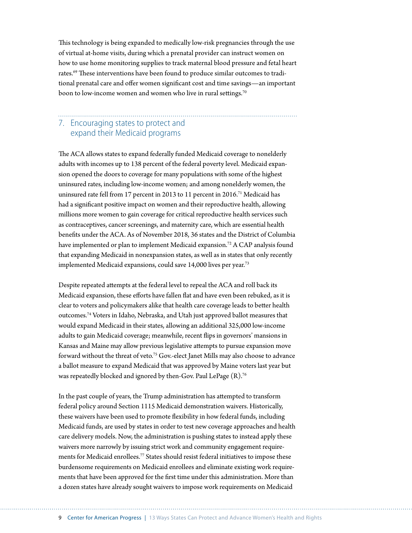This technology is being expanded to medically low-risk pregnancies through the use of virtual at-home visits, during which a prenatal provider can instruct women on how to use home monitoring supplies to track maternal blood pressure and fetal heart rates.69 These interventions have been found to produce similar outcomes to traditional prenatal care and offer women significant cost and time savings—an important boon to low-income women and women who live in rural settings.<sup>70</sup>

#### 7. Encouraging states to protect and expand their Medicaid programs

The ACA allows states to expand federally funded Medicaid coverage to nonelderly adults with incomes up to 138 percent of the federal poverty level. Medicaid expansion opened the doors to coverage for many populations with some of the highest uninsured rates, including low-income women; and among nonelderly women, the uninsured rate fell from 17 percent in 2013 to 11 percent in 2016.<sup>71</sup> Medicaid has had a significant positive impact on women and their reproductive health, allowing millions more women to gain coverage for critical reproductive health services such as contraceptives, cancer screenings, and maternity care, which are essential health benefits under the ACA. As of November 2018, 36 states and the District of Columbia have implemented or plan to implement Medicaid expansion.<sup>72</sup> A CAP analysis found that expanding Medicaid in nonexpansion states, as well as in states that only recently implemented Medicaid expansions, could save 14,000 lives per year.<sup>73</sup>

Despite repeated attempts at the federal level to repeal the ACA and roll back its Medicaid expansion, these efforts have fallen flat and have even been rebuked, as it is clear to voters and policymakers alike that health care coverage leads to better health outcomes.74 Voters in Idaho, Nebraska, and Utah just approved ballot measures that would expand Medicaid in their states, allowing an additional 325,000 low-income adults to gain Medicaid coverage; meanwhile, recent flips in governors' mansions in Kansas and Maine may allow previous legislative attempts to pursue expansion move forward without the threat of veto.<sup>75</sup> Gov.-elect Janet Mills may also choose to advance a ballot measure to expand Medicaid that was approved by Maine voters last year but was repeatedly blocked and ignored by then-Gov. Paul LePage (R).76

In the past couple of years, the Trump administration has attempted to transform federal policy around Section 1115 Medicaid demonstration waivers. Historically, these waivers have been used to promote flexibility in how federal funds, including Medicaid funds, are used by states in order to test new coverage approaches and health care delivery models. Now, the administration is pushing states to instead apply these waivers more narrowly by issuing strict work and community engagement requirements for Medicaid enrollees.<sup>77</sup> States should resist federal initiatives to impose these burdensome requirements on Medicaid enrollees and eliminate existing work requirements that have been approved for the first time under this administration. More than a dozen states have already sought waivers to impose work requirements on Medicaid

9 Center for American Progress | 13 Ways States Can Protect and Advance Women's Health and Rights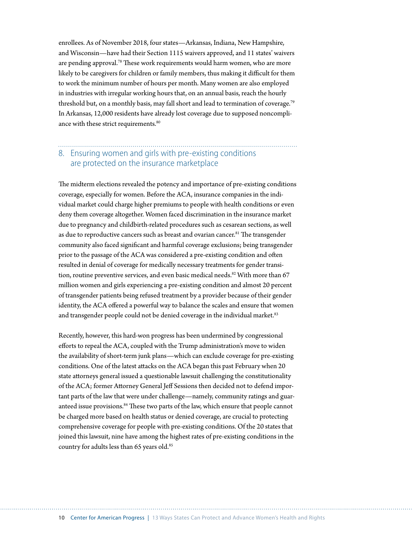enrollees. As of November 2018, four states—Arkansas, Indiana, New Hampshire, and Wisconsin—have had their Section 1115 waivers approved, and 11 states' waivers are pending approval.<sup>78</sup> These work requirements would harm women, who are more likely to be caregivers for children or family members, thus making it difficult for them to work the minimum number of hours per month. Many women are also employed in industries with irregular working hours that, on an annual basis, reach the hourly threshold but, on a monthly basis, may fall short and lead to termination of coverage.<sup>79</sup> In Arkansas, 12,000 residents have already lost coverage due to supposed noncompliance with these strict requirements.<sup>80</sup>

## 8. Ensuring women and girls with pre-existing conditions are protected on the insurance marketplace

The midterm elections revealed the potency and importance of pre-existing conditions coverage, especially for women. Before the ACA, insurance companies in the individual market could charge higher premiums to people with health conditions or even deny them coverage altogether. Women faced discrimination in the insurance market due to pregnancy and childbirth-related procedures such as cesarean sections, as well as due to reproductive cancers such as breast and ovarian cancer.<sup>81</sup> The transgender community also faced significant and harmful coverage exclusions; being transgender prior to the passage of the ACA was considered a pre-existing condition and often resulted in denial of coverage for medically necessary treatments for gender transition, routine preventive services, and even basic medical needs.<sup>82</sup> With more than 67 million women and girls experiencing a pre-existing condition and almost 20 percent of transgender patients being refused treatment by a provider because of their gender identity, the ACA offered a powerful way to balance the scales and ensure that women and transgender people could not be denied coverage in the individual market.<sup>83</sup>

Recently, however, this hard-won progress has been undermined by congressional efforts to repeal the ACA, coupled with the Trump administration's move to widen the availability of short-term junk plans—which can exclude coverage for pre-existing conditions. One of the latest attacks on the ACA began this past February when 20 state attorneys general issued a questionable lawsuit challenging the constitutionality of the ACA; former Attorney General Jeff Sessions then decided not to defend important parts of the law that were under challenge—namely, community ratings and guaranteed issue provisions.<sup>84</sup> These two parts of the law, which ensure that people cannot be charged more based on health status or denied coverage, are crucial to protecting comprehensive coverage for people with pre-existing conditions. Of the 20 states that joined this lawsuit, nine have among the highest rates of pre-existing conditions in the country for adults less than 65 years old.<sup>85</sup>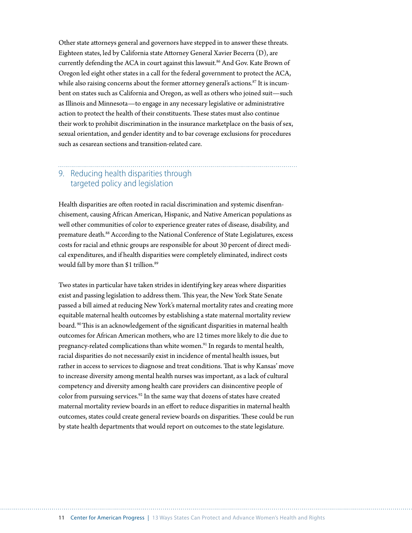Other state attorneys general and governors have stepped in to answer these threats. Eighteen states, led by California state Attorney General Xavier Becerra (D), are currently defending the ACA in court against this lawsuit.<sup>86</sup> And Gov. Kate Brown of Oregon led eight other states in a call for the federal government to protect the ACA, while also raising concerns about the former attorney general's actions. $87$  It is incumbent on states such as California and Oregon, as well as others who joined suit—such as Illinois and Minnesota—to engage in any necessary legislative or administrative action to protect the health of their constituents. These states must also continue their work to prohibit discrimination in the insurance marketplace on the basis of sex, sexual orientation, and gender identity and to bar coverage exclusions for procedures such as cesarean sections and transition-related care.

## 9. Reducing health disparities through targeted policy and legislation

Health disparities are often rooted in racial discrimination and systemic disenfranchisement, causing African American, Hispanic, and Native American populations as well other communities of color to experience greater rates of disease, disability, and premature death.88 According to the National Conference of State Legislatures, excess costs for racial and ethnic groups are responsible for about 30 percent of direct medical expenditures, and if health disparities were completely eliminated, indirect costs would fall by more than \$1 trillion.<sup>89</sup>

Two states in particular have taken strides in identifying key areas where disparities exist and passing legislation to address them. This year, the New York State Senate passed a bill aimed at reducing New York's maternal mortality rates and creating more equitable maternal health outcomes by establishing a state maternal mortality review board. 90 This is an acknowledgement of the significant disparities in maternal health outcomes for African American mothers, who are 12 times more likely to die due to pregnancy-related complications than white women.<sup>91</sup> In regards to mental health, racial disparities do not necessarily exist in incidence of mental health issues, but rather in access to services to diagnose and treat conditions. That is why Kansas' move to increase diversity among mental health nurses was important, as a lack of cultural competency and diversity among health care providers can disincentive people of color from pursuing services.<sup>92</sup> In the same way that dozens of states have created maternal mortality review boards in an effort to reduce disparities in maternal health outcomes, states could create general review boards on disparities. These could be run by state health departments that would report on outcomes to the state legislature.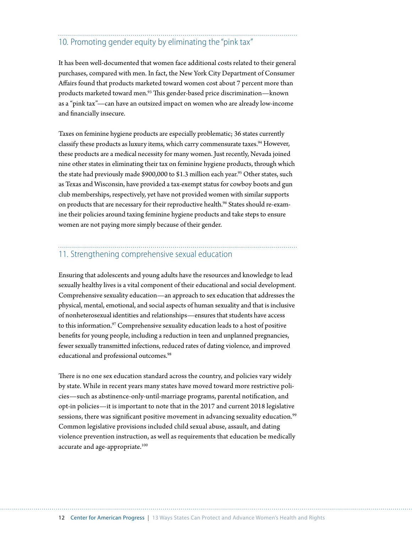# 10. Promoting gender equity by eliminating the "pink tax"

It has been well-documented that women face additional costs related to their general purchases, compared with men. In fact, the New York City Department of Consumer Affairs found that products marketed toward women cost about 7 percent more than products marketed toward men.93 This gender-based price discrimination—known as a "pink tax"—can have an outsized impact on women who are already low-income and financially insecure.

Taxes on feminine hygiene products are especially problematic; 36 states currently classify these products as luxury items, which carry commensurate taxes.<sup>94</sup> However, these products are a medical necessity for many women. Just recently, Nevada joined nine other states in eliminating their tax on feminine hygiene products, through which the state had previously made \$900,000 to \$1.3 million each year.<sup>95</sup> Other states, such as Texas and Wisconsin, have provided a tax-exempt status for cowboy boots and gun club memberships, respectively, yet have not provided women with similar supports on products that are necessary for their reproductive health.<sup>96</sup> States should re-examine their policies around taxing feminine hygiene products and take steps to ensure women are not paying more simply because of their gender.

#### 11. Strengthening comprehensive sexual education

Ensuring that adolescents and young adults have the resources and knowledge to lead sexually healthy lives is a vital component of their educational and social development. Comprehensive sexuality education—an approach to sex education that addresses the physical, mental, emotional, and social aspects of human sexuality and that is inclusive of nonheterosexual identities and relationships—ensures that students have access to this information.<sup>97</sup> Comprehensive sexuality education leads to a host of positive benefits for young people, including a reduction in teen and unplanned pregnancies, fewer sexually transmitted infections, reduced rates of dating violence, and improved educational and professional outcomes.<sup>98</sup>

There is no one sex education standard across the country, and policies vary widely by state. While in recent years many states have moved toward more restrictive policies—such as abstinence-only-until-marriage programs, parental notification, and opt-in policies—it is important to note that in the 2017 and current 2018 legislative sessions, there was significant positive movement in advancing sexuality education.<sup>99</sup> Common legislative provisions included child sexual abuse, assault, and dating violence prevention instruction, as well as requirements that education be medically accurate and age-appropriate.<sup>100</sup>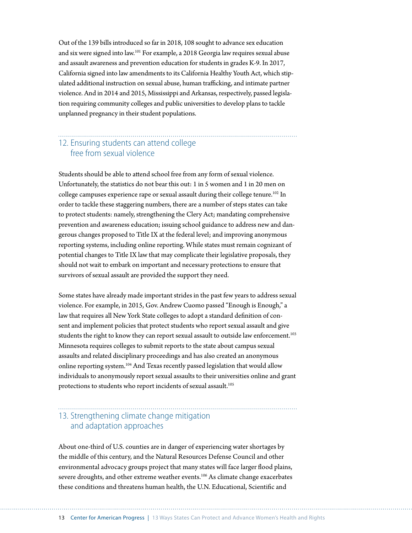Out of the 139 bills introduced so far in 2018, 108 sought to advance sex education and six were signed into law.101 For example, a 2018 Georgia law requires sexual abuse and assault awareness and prevention education for students in grades K-9. In 2017, California signed into law amendments to its California Healthy Youth Act, which stipulated additional instruction on sexual abuse, human trafficking, and intimate partner violence. And in 2014 and 2015, Mississippi and Arkansas, respectively, passed legislation requiring community colleges and public universities to develop plans to tackle unplanned pregnancy in their student populations.

## 12. Ensuring students can attend college free from sexual violence

Students should be able to attend school free from any form of sexual violence. Unfortunately, the statistics do not bear this out: 1 in 5 women and 1 in 20 men on college campuses experience rape or sexual assault during their college tenure.<sup>102</sup> In order to tackle these staggering numbers, there are a number of steps states can take to protect students: namely, strengthening the Clery Act; mandating comprehensive prevention and awareness education; issuing school guidance to address new and dangerous changes proposed to Title IX at the federal level; and improving anonymous reporting systems, including online reporting. While states must remain cognizant of potential changes to Title IX law that may complicate their legislative proposals, they should not wait to embark on important and necessary protections to ensure that survivors of sexual assault are provided the support they need.

Some states have already made important strides in the past few years to address sexual violence. For example, in 2015, Gov. Andrew Cuomo passed "Enough is Enough," a law that requires all New York State colleges to adopt a standard definition of consent and implement policies that protect students who report sexual assault and give students the right to know they can report sexual assault to outside law enforcement.<sup>103</sup> Minnesota requires colleges to submit reports to the state about campus sexual assaults and related disciplinary proceedings and has also created an anonymous online reporting system.104 And Texas recently passed legislation that would allow individuals to anonymously report sexual assaults to their universities online and grant protections to students who report incidents of sexual assault.<sup>105</sup>

### 13. Strengthening climate change mitigation and adaptation approaches

About one-third of U.S. counties are in danger of experiencing water shortages by the middle of this century, and the Natural Resources Defense Council and other environmental advocacy groups project that many states will face larger flood plains, severe droughts, and other extreme weather events.<sup>106</sup> As climate change exacerbates these conditions and threatens human health, the U.N. Educational, Scientific and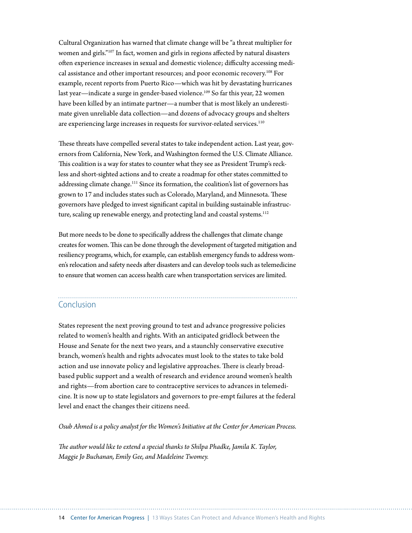Cultural Organization has warned that climate change will be "a threat multiplier for women and girls."107 In fact, women and girls in regions affected by natural disasters often experience increases in sexual and domestic violence; difficulty accessing medical assistance and other important resources; and poor economic recovery.<sup>108</sup> For example, recent reports from Puerto Rico—which was hit by devastating hurricanes last year—indicate a surge in gender-based violence.<sup>109</sup> So far this year, 22 women have been killed by an intimate partner—a number that is most likely an underestimate given unreliable data collection—and dozens of advocacy groups and shelters are experiencing large increases in requests for survivor-related services.<sup>110</sup>

These threats have compelled several states to take independent action. Last year, governors from California, New York, and Washington formed the U.S. Climate Alliance. This coalition is a way for states to counter what they see as President Trump's reckless and short-sighted actions and to create a roadmap for other states committed to addressing climate change.<sup>111</sup> Since its formation, the coalition's list of governors has grown to 17 and includes states such as Colorado, Maryland, and Minnesota. These governors have pledged to invest significant capital in building sustainable infrastructure, scaling up renewable energy, and protecting land and coastal systems.<sup>112</sup>

But more needs to be done to specifically address the challenges that climate change creates for women. This can be done through the development of targeted mitigation and resiliency programs, which, for example, can establish emergency funds to address women's relocation and safety needs after disasters and can develop tools such as telemedicine to ensure that women can access health care when transportation services are limited.

#### Conclusion

States represent the next proving ground to test and advance progressive policies related to women's health and rights. With an anticipated gridlock between the House and Senate for the next two years, and a staunchly conservative executive branch, women's health and rights advocates must look to the states to take bold action and use innovate policy and legislative approaches. There is clearly broadbased public support and a wealth of research and evidence around women's health and rights—from abortion care to contraceptive services to advances in telemedicine. It is now up to state legislators and governors to pre-empt failures at the federal level and enact the changes their citizens need.

*Osub Ahmed is a policy analyst for the Women's Initiative at the Center for American Process.*

*The author would like to extend a special thanks to Shilpa Phadke, Jamila K. Taylor, Maggie Jo Buchanan, Emily Gee, and Madeleine Twomey.*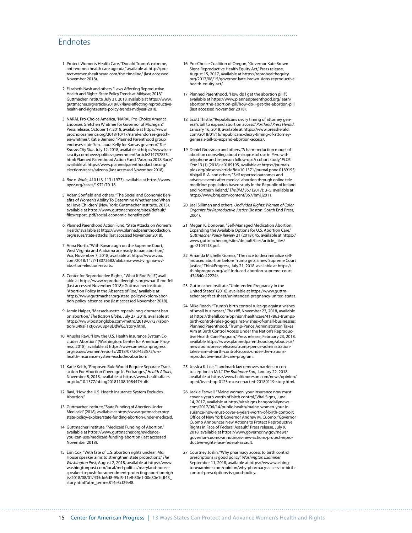#### Endnotes

- 1 Protect Women's Health Care, "Donald Trump's extreme, anti-women health care agenda," available at [http://pro](http://protectwomenshealthcare.com/the-timeline/)[tectwomenshealthcare.com/the-timeline/](http://protectwomenshealthcare.com/the-timeline/) (last accessed November 2018).
- 2 Elizabeth Nash and others, "Laws Affecting Reproductive Health and Rights: State Policy Trends at Midyear, 2018," Guttmacher Institute, July 31, 2018, available at [https://www.](https://www.guttmacher.org/article/2018/07/laws-affecting-reproductive-health-and-rights-state-policy-trends-midyear-2018) [guttmacher.org/article/2018/07/laws-affecting-reproductive](https://www.guttmacher.org/article/2018/07/laws-affecting-reproductive-health-and-rights-state-policy-trends-midyear-2018)[health-and-rights-state-policy-trends-midyear-2018](https://www.guttmacher.org/article/2018/07/laws-affecting-reproductive-health-and-rights-state-policy-trends-midyear-2018).
- 3 NARAL Pro-Choice America, "NARAL Pro-Choice America Endorses Gretchen Whitmer for Governor of Michigan," Press release, October 17, 2018, available at [https://www.](https://www.prochoiceamerica.org/2018/10/17/naral-endorses-gretchen-whitmer/) [prochoiceamerica.org/2018/10/17/naral-endorses-gretch](https://www.prochoiceamerica.org/2018/10/17/naral-endorses-gretchen-whitmer/)[en-whitmer/](https://www.prochoiceamerica.org/2018/10/17/naral-endorses-gretchen-whitmer/); Katie Bernard, "Planned Parenthood group endorses state Sen. Laura Kelly for Kansas governor," *The Kansas City Star*, July 12, 2018, available at [https://www.kan](https://www.kansascity.com/news/politics-government/article214757875.html)[sascity.com/news/politics-government/article214757875.](https://www.kansascity.com/news/politics-government/article214757875.html) [html](https://www.kansascity.com/news/politics-government/article214757875.html); Planned Parenthood Action Fund, "Arizona 2018 Race," available at [https://www.plannedparenthoodaction.org/](https://www.plannedparenthoodaction.org/elections/races/arizona) [elections/races/arizona](https://www.plannedparenthoodaction.org/elections/races/arizona) (last accessed November 2018).
- 4 *Roe v. Wade*, 410 U.S. 113 (1973), available at [https://www.](https://www.oyez.org/cases/1971/70-18) [oyez.org/cases/1971/70-18](https://www.oyez.org/cases/1971/70-18).
- 5 Adam Sonfield and others, "The Social and Economic Benefits of Women's Ability To Determine Whether and When to Have Children" (New York: Guttmacher Institute, 2013), available at [https://www.guttmacher.org/sites/default/](https://www.guttmacher.org/sites/default/files/report_pdf/social-economic-benefits.pdf) [files/report\\_pdf/social-economic-benefits.pdf](https://www.guttmacher.org/sites/default/files/report_pdf/social-economic-benefits.pdf).
- 6 Planned Parenthood Action Fund, "State Attacks on Women's Health," available at [https://www.plannedparenthoodaction.](https://www.plannedparenthoodaction.org/issues/state-attacks) [org/issues/state-attacks](https://www.plannedparenthoodaction.org/issues/state-attacks) (last accessed November 2018).
- 7 Anna North, "With Kavanaugh on the Supreme Court, West Virginia and Alabama are ready to ban abortion," Vox, November 7, 2018, available at [https://www.vox.](https://www.vox.com/2018/11/7/18072682/alabama-west-virginia-wv-abortion-election-results) [com/2018/11/7/18072682/alabama-west-virginia-wv](https://www.vox.com/2018/11/7/18072682/alabama-west-virginia-wv-abortion-election-results)[abortion-election-results](https://www.vox.com/2018/11/7/18072682/alabama-west-virginia-wv-abortion-election-results).
- 8 Center for Reproductive Rights, "What If Roe Fell?", available at <https://www.reproductiverights.org/what-if-roe-fell> (last accessed November 2018); Guttmacher Institute, "Abortion Policy in the Absence of Roe," available at [https://www.guttmacher.org/state-policy/explore/abor](https://www.guttmacher.org/state-policy/explore/abortion-policy-absence-roe)[tion-policy-absence-roe](https://www.guttmacher.org/state-policy/explore/abortion-policy-absence-roe) (last accessed November 2018).
- 9 Jamie Halper, "Massachusetts repeals long-dormant ban on abortion," *The Boston Globe*, July 27, 2018, available at [https://www.bostonglobe.com/metro/2018/07/27/abor](https://www.bostonglobe.com/metro/2018/07/27/abortion/u49aF1xtj6ywJ8p48DdWGJ/story.html)[tion/u49aF1xtj6ywJ8p48DdWGJ/story.html.](https://www.bostonglobe.com/metro/2018/07/27/abortion/u49aF1xtj6ywJ8p48DdWGJ/story.html)
- 10 Anusha Ravi, "How the U.S. Health Insurance System Excludes Abortion" (Washington: Center for American Progress, 2018), available at [https://www.americanprogress.](https://www.americanprogress.org/issues/women/reports/2018/07/20/453572/u-s-health-insurance-system-excludes-abortion/) [org/issues/women/reports/2018/07/20/453572/u-s](https://www.americanprogress.org/issues/women/reports/2018/07/20/453572/u-s-health-insurance-system-excludes-abortion/)[health-insurance-system-excludes-abortion/](https://www.americanprogress.org/issues/women/reports/2018/07/20/453572/u-s-health-insurance-system-excludes-abortion/).
- 11 Katie Keith, "Proposed Rule Would Require Separate Transaction For Abortion Coverage In Exchanges," *Health Affairs*, November 8, 2018, available at [https://www.healthaffairs.](https://www.healthaffairs.org/do/10.1377/hblog20181108.108447/full/) [org/do/10.1377/hblog20181108.108447/full/.](https://www.healthaffairs.org/do/10.1377/hblog20181108.108447/full/)
- 12 Ravi, "How the U.S. Health Insurance System Excludes Abortion.
- 13 Guttmacher Institute, "State Funding of Abortion Under Medicaid" (2018), available at [https://www.guttmacher.org/](https://www.guttmacher.org/state-policy/explore/state-funding-abortion-under-medicaid) [state-policy/explore/state-funding-abortion-under-medicaid.](https://www.guttmacher.org/state-policy/explore/state-funding-abortion-under-medicaid)
- 14 Guttmacher Institute, "Medicaid Funding of Abortion," available at [https://www.guttmacher.org/evidence](https://www.guttmacher.org/evidence-you-can-use/medicaid-funding-abortion)[you-can-use/medicaid-funding-abortion](https://www.guttmacher.org/evidence-you-can-use/medicaid-funding-abortion) (last accessed November 2018).
- 15 Erin Cox, "With fate of U.S. abortion rights unclear, Md. House speaker aims to strengthen state protections," *The Washington Post*, August 2, 2018, available at [https://www.](https://www.washingtonpost.com/local/md-politics/maryland-house-speaker-to-push-for-amendment-protecting-abortion-rights/2018/08/01/435dd6d8-95d5-11e8-80e1-00e80e1fdf43_story.html?utm_term=.814e3cf29ef8) [washingtonpost.com/local/md-politics/maryland-house](https://www.washingtonpost.com/local/md-politics/maryland-house-speaker-to-push-for-amendment-protecting-abortion-rights/2018/08/01/435dd6d8-95d5-11e8-80e1-00e80e1fdf43_story.html?utm_term=.814e3cf29ef8)[speaker-to-push-for-amendment-protecting-abortion-righ](https://www.washingtonpost.com/local/md-politics/maryland-house-speaker-to-push-for-amendment-protecting-abortion-rights/2018/08/01/435dd6d8-95d5-11e8-80e1-00e80e1fdf43_story.html?utm_term=.814e3cf29ef8) [ts/2018/08/01/435dd6d8-95d5-11e8-80e1-00e80e1fdf43\\_](https://www.washingtonpost.com/local/md-politics/maryland-house-speaker-to-push-for-amendment-protecting-abortion-rights/2018/08/01/435dd6d8-95d5-11e8-80e1-00e80e1fdf43_story.html?utm_term=.814e3cf29ef8) [story.html?utm\\_term=.814e3cf29ef8](https://www.washingtonpost.com/local/md-politics/maryland-house-speaker-to-push-for-amendment-protecting-abortion-rights/2018/08/01/435dd6d8-95d5-11e8-80e1-00e80e1fdf43_story.html?utm_term=.814e3cf29ef8).

16 Pro-Choice Coalition of Oregon, "Governor Kate Brown Signs Reproductive Health Equity Act," Press release, August 15, 2017, available at [https://reprohealthequity.](https://reprohealthequity.org/2017/08/15/governor-kate-brown-signs-reproductive-health-equity-act/) [org/2017/08/15/governor-kate-brown-signs-reproductive](https://reprohealthequity.org/2017/08/15/governor-kate-brown-signs-reproductive-health-equity-act/)[health-equity-act/](https://reprohealthequity.org/2017/08/15/governor-kate-brown-signs-reproductive-health-equity-act/).

- 17 Planned Parenthood, "How do I get the abortion pill?", available at [https://www.plannedparenthood.org/learn/](https://www.plannedparenthood.org/learn/abortion/the-abortion-pill/how-do-i-get-the-abortion-pill) [abortion/the-abortion-pill/how-do-i-get-the-abortion-pill](https://www.plannedparenthood.org/learn/abortion/the-abortion-pill/how-do-i-get-the-abortion-pill) (last accessed November 2018).
- 18 Scott Thistle, "Republicans decry timing of attorney general's bill to expand abortion access," *Portland Press Herald*, January 16, 2018, available at [https://www.pressherald.](https://www.pressherald.com/2018/01/16/republicans-decry-timing-of-attorney-generals-bill-to-expand-abortion-access/) [com/2018/01/16/republicans-decry-timing-of-attorney](https://www.pressherald.com/2018/01/16/republicans-decry-timing-of-attorney-generals-bill-to-expand-abortion-access/)[generals-bill-to-expand-abortion-access/.](https://www.pressherald.com/2018/01/16/republicans-decry-timing-of-attorney-generals-bill-to-expand-abortion-access/)
- 19 Daniel Grossman and others, "A harm-reduction model of abortion counseling about misoprostol use in Peru with telephone and in-person follow-up: A cohort study," *PLOS One* 13 (1) (2018): e0189195, available at [https://journals.](https://journals.plos.org/plosone/article?id=10.1371/journal.pone.0189195) [plos.org/plosone/article?id=10.1371/journal.pone.0189195;](https://journals.plos.org/plosone/article?id=10.1371/journal.pone.0189195) Abigail R. A. and others, "Self reported outcomes and adverse events after medical abortion through online telemedicine: population based study in the Republic of Ireland and Northern Ireland," *The BMJ* 357 (2017): 3–5, available at <https://www.bmj.com/content/357/bmj.j2011>.
- 20 Jael Silliman and others, *Undivided Rights: Women of Color Organize for Reproductive Justice* (Boston: South End Press, 2004).
- 21 Megan K. Donovan, "Self-Managed Medication Abortion: Expanding the Available Options for U.S. Abortion Care," *Guttmacher Policy Review* 21 (2018): 45, available at [https://](https://www.guttmacher.org/sites/default/files/article_files/gpr2104118.pdf) [www.guttmacher.org/sites/default/files/article\\_files/](https://www.guttmacher.org/sites/default/files/article_files/gpr2104118.pdf) [gpr2104118.pdf](https://www.guttmacher.org/sites/default/files/article_files/gpr2104118.pdf).
- 22 Amanda Michelle Gomez, "The race to decriminalize selfinduced abortion before Trump gets a new Supreme Court justice," ThinkProgress, July 21, 2018, available at [https://](https://thinkprogress.org/self-induced-abortion-supreme-court-d34840c42224/) [thinkprogress.org/self-induced-abortion-supreme-court](https://thinkprogress.org/self-induced-abortion-supreme-court-d34840c42224/)[d34840c42224/](https://thinkprogress.org/self-induced-abortion-supreme-court-d34840c42224/).
- 23 Guttmacher Institute, "Unintended Pregnancy in the United States" (2016), available at [https://www.guttm](https://www.guttmacher.org/fact-sheet/unintended-pregnancy-united-states)[acher.org/fact-sheet/unintended-pregnancy-united-states](https://www.guttmacher.org/fact-sheet/unintended-pregnancy-united-states).
- 24 Mike Roach, "Trump's birth control rules go against wishes of small businesses," *The Hill*, November 23, 2018, available at [https://thehill.com/opinion/healthcare/417863-trumps](https://thehill.com/opinion/healthcare/417863-trumps-birth-control-rules-go-against-wishes-of-small-businesses)[birth-control-rules-go-against-wishes-of-small-businesses](https://thehill.com/opinion/healthcare/417863-trumps-birth-control-rules-go-against-wishes-of-small-businesses); Planned Parenthood, "Trump-Pence Administration Takes Aim at Birth Control Access Under the Nation's Reproductive Health Care Program," Press release, February 23, 2018, available [https://www.plannedparenthood.org/about-us/](https://www.plannedparenthood.org/about-us/newsroom/press-releases/trump-pence-administration-takes-aim-at-birth-control-access-under-the-nations-reproductive-health-care-program) [newsroom/press-releases/trump-pence-administration](https://www.plannedparenthood.org/about-us/newsroom/press-releases/trump-pence-administration-takes-aim-at-birth-control-access-under-the-nations-reproductive-health-care-program)[takes-aim-at-birth-control-access-under-the-nations](https://www.plannedparenthood.org/about-us/newsroom/press-releases/trump-pence-administration-takes-aim-at-birth-control-access-under-the-nations-reproductive-health-care-program)[reproductive-health-care-program.](https://www.plannedparenthood.org/about-us/newsroom/press-releases/trump-pence-administration-takes-aim-at-birth-control-access-under-the-nations-reproductive-health-care-program)
- 25 Jessica K. Lee, "Landmark law removes barriers to contraception in Md.," *The Baltimore Sun*, January 22, 2018, available at [https://www.baltimoresun.com/news/opinion/](https://www.baltimoresun.com/news/opinion/oped/bs-ed-op-0123-mcea-enacted-20180119-story.html) [oped/bs-ed-op-0123-mcea-enacted-20180119-story.html](https://www.baltimoresun.com/news/opinion/oped/bs-ed-op-0123-mcea-enacted-20180119-story.html).
- 26 Jackie Farwell, "Maine women, your insurance now must cover a year's worth of birth control," Vital Signs, June 14, 2017, available at [http://vitalsigns.bangordailynews.](http://vitalsigns.bangordailynews.com/2017/06/14/public-health/maine-women-your-insurance-now-must-cover-a-years-worth-of-birth-control/) [com/2017/06/14/public-health/maine-women-your-in](http://vitalsigns.bangordailynews.com/2017/06/14/public-health/maine-women-your-insurance-now-must-cover-a-years-worth-of-birth-control/)[surance-now-must-cover-a-years-worth-of-birth-control/;](http://vitalsigns.bangordailynews.com/2017/06/14/public-health/maine-women-your-insurance-now-must-cover-a-years-worth-of-birth-control/) Office of New York Governor Andrew M. Cuomo, "Governor Cuomo Announces New Actions to Protect Reproductive Rights in Face of Federal Assault," Press release, July 9, 2018, available at [https://www.governor.ny.gov/news/](https://www.governor.ny.gov/news/governor-cuomo-announces-new-actions-protect-reproductive-rights-face-federal-assault) [governor-cuomo-announces-new-actions-protect-repro](https://www.governor.ny.gov/news/governor-cuomo-announces-new-actions-protect-reproductive-rights-face-federal-assault)[ductive-rights-face-federal-assault.](https://www.governor.ny.gov/news/governor-cuomo-announces-new-actions-protect-reproductive-rights-face-federal-assault)
- 27 Courtney Joslin, "Why pharmacy access to birth control prescriptions is good policy," *Washington Examiner*, September 11, 2018, available at [https://www.washing](https://www.washingtonexaminer.com/opinion/why-pharmacy-access-to-birth-control-prescriptions-is-good-policy)[tonexaminer.com/opinion/why-pharmacy-access-to-birth](https://www.washingtonexaminer.com/opinion/why-pharmacy-access-to-birth-control-prescriptions-is-good-policy)[control-prescriptions-is-good-policy](https://www.washingtonexaminer.com/opinion/why-pharmacy-access-to-birth-control-prescriptions-is-good-policy).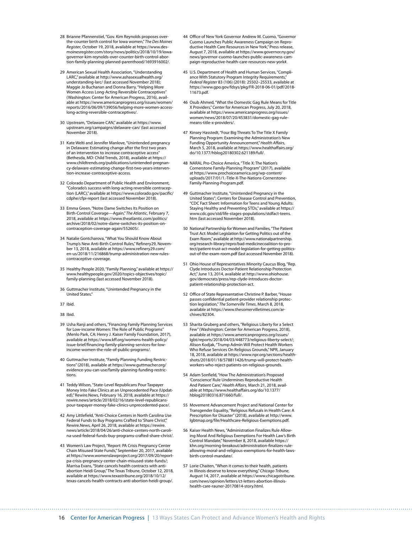- 28 Brianne Pfannenstiel, "Gov. Kim Reynolds proposes overthe-counter birth control for Iowa women," *The Des Moines Register*, October 19, 2018, available at [https://www.des](https://www.desmoinesregister.com/story/news/politics/2018/10/19/iowa-governor-kim-reynolds-over-counter-birth-control-abortion-family-planning-planned-parenthood/1693916002/)[moinesregister.com/story/news/politics/2018/10/19/iowa](https://www.desmoinesregister.com/story/news/politics/2018/10/19/iowa-governor-kim-reynolds-over-counter-birth-control-abortion-family-planning-planned-parenthood/1693916002/)[governor-kim-reynolds-over-counter-birth-control-abor](https://www.desmoinesregister.com/story/news/politics/2018/10/19/iowa-governor-kim-reynolds-over-counter-birth-control-abortion-family-planning-planned-parenthood/1693916002/)[tion-family-planning-planned-parenthood/1693916002/](https://www.desmoinesregister.com/story/news/politics/2018/10/19/iowa-governor-kim-reynolds-over-counter-birth-control-abortion-family-planning-planned-parenthood/1693916002/).
- 29 American Sexual Health Association, "Understanding LARC," available at [http://www.ashasexualhealth.org/](http://www.ashasexualhealth.org/understanding-larc/) [understanding-larc/](http://www.ashasexualhealth.org/understanding-larc/) (last accessed November 2018); Maggie Jo Buchanan and Donna Barry, "Helping More Women Access Long-Acting Reversible Contraceptives' (Washington: Center for American Progress, 2016), available at [https://www.americanprogress.org/issues/women/](https://www.americanprogress.org/issues/women/reports/2016/06/09/139056/helping-more-women-access-long-acting-reversible-contraceptives/) [reports/2016/06/09/139056/helping-more-women-access](https://www.americanprogress.org/issues/women/reports/2016/06/09/139056/helping-more-women-access-long-acting-reversible-contraceptives/)[long-acting-reversible-contraceptives/](https://www.americanprogress.org/issues/women/reports/2016/06/09/139056/helping-more-women-access-long-acting-reversible-contraceptives/).
- 30 Upstream, "Delaware CAN," available at [https://www.](https://www.upstream.org/campaigns/delaware-can/) [upstream.org/campaigns/delaware-can/](https://www.upstream.org/campaigns/delaware-can/) (last accessed November 2018).
- 31 Kate Welti and Jennifer Manlove, "Unintended pregnancy in Delaware: Estimating change after the first two years of an intervention to increase contraceptive access" (Bethesda, MD: Child Trends, 2018), available at [https://](https://www.childtrends.org/publications/unintended-pregnancy-delaware-estimating-change-first-two-years-intervention-increase-contraceptive-access) [www.childtrends.org/publications/unintended-pregnan](https://www.childtrends.org/publications/unintended-pregnancy-delaware-estimating-change-first-two-years-intervention-increase-contraceptive-access)[cy-delaware-estimating-change-first-two-years-interven](https://www.childtrends.org/publications/unintended-pregnancy-delaware-estimating-change-first-two-years-intervention-increase-contraceptive-access)[tion-increase-contraceptive-access](https://www.childtrends.org/publications/unintended-pregnancy-delaware-estimating-change-first-two-years-intervention-increase-contraceptive-access).
- 32 Colorado Department of Public Health and Environment, "Colorado's success with long-acting reversible contraception (LARC)," available at [https://www.colorado.gov/pacific/](https://www.colorado.gov/pacific/cdphe/cfpi-report) [cdphe/cfpi-report](https://www.colorado.gov/pacific/cdphe/cfpi-report) (last accessed November 2018).
- 33 Emma Green, "Notre Dame Switches Its Position on Birth-Control Coverage—Again," *The Atlantic*, February 7, 2018, available at [https://www.theatlantic.com/politics/](https://www.theatlantic.com/politics/archive/2018/02/notre-dame-switches-its-position-on-contraception-coverage-again/552605/) [archive/2018/02/notre-dame-switches-its-position-on](https://www.theatlantic.com/politics/archive/2018/02/notre-dame-switches-its-position-on-contraception-coverage-again/552605/)[contraception-coverage-again/552605/.](https://www.theatlantic.com/politics/archive/2018/02/notre-dame-switches-its-position-on-contraception-coverage-again/552605/)
- 34 Natalie Gontcharova, "What You Should Know About Trump's New Anti-Birth Control Rules," Refinery29, November 13, 2018, available at [https://www.refinery29.com/](https://www.refinery29.com/en-us/2018/11/216868/trump-administration-new-rules-contraceptive-coverage) [en-us/2018/11/216868/trump-administration-new-rules](https://www.refinery29.com/en-us/2018/11/216868/trump-administration-new-rules-contraceptive-coverage)[contraceptive-coverage](https://www.refinery29.com/en-us/2018/11/216868/trump-administration-new-rules-contraceptive-coverage).
- 35 Healthy People 2020, "Family Planning," available at [https://](https://www.healthypeople.gov/2020/topics-objectives/topic/family-planning) [www.healthypeople.gov/2020/topics-objectives/topic/](https://www.healthypeople.gov/2020/topics-objectives/topic/family-planning) [family-planning](https://www.healthypeople.gov/2020/topics-objectives/topic/family-planning) (last accessed November 2018).
- 36 Guttmacher Institute, "Unintended Pregnancy in the United States."
- 37 Ibid.
- 38 Ibid.
- 39 Usha Ranji and others, "Financing Family Planning Services for Low-income Women: The Role of Public Programs' (Menlo Park, CA: Henry J. Kaiser Family Foundation, 2017), available at [https://www.kff.org/womens-health-policy/](https://www.kff.org/womens-health-policy/issue-brief/financing-family-planning-services-for-low-income-women-the-role-of-public-programs/) [issue-brief/financing-family-planning-services-for-low](https://www.kff.org/womens-health-policy/issue-brief/financing-family-planning-services-for-low-income-women-the-role-of-public-programs/)[income-women-the-role-of-public-programs/.](https://www.kff.org/womens-health-policy/issue-brief/financing-family-planning-services-for-low-income-women-the-role-of-public-programs/)
- 40 Guttmacher Institute, "Family Planning Funding Restrictions" (2018), available at [https://www.guttmacher.org/](https://www.guttmacher.org/evidence-you-can-use/family-planning-funding-restrictions) [evidence-you-can-use/family-planning-funding-restric](https://www.guttmacher.org/evidence-you-can-use/family-planning-funding-restrictions)[tions](https://www.guttmacher.org/evidence-you-can-use/family-planning-funding-restrictions).
- 41 Teddy Wilson, "State-Level Republicans Pour Taxpayer Money Into Fake Clinics at an Unprecedented Pace (Updated)," Rewire.News, February 16, 2018, available at [https://](https://rewire.news/article/2018/02/16/state-level-republicans-pour-taxpayer-money-fake-clinics-unprecedented-pace/) [rewire.news/article/2018/02/16/state-level-republicans](https://rewire.news/article/2018/02/16/state-level-republicans-pour-taxpayer-money-fake-clinics-unprecedented-pace/)[pour-taxpayer-money-fake-clinics-unprecedented-pace/.](https://rewire.news/article/2018/02/16/state-level-republicans-pour-taxpayer-money-fake-clinics-unprecedented-pace/)
- 42 Amy Littlefield, "Anti-Choice Centers in North Carolina Use Federal Funds to Buy Programs Crafted to 'Share Christ'," Rewire.News, April 26, 2018, available at [https://rewire.](https://rewire.news/article/2018/04/26/anti-choice-centers-north-carolina-used-federal-funds-buy-programs-crafted-share-christ/) [news/article/2018/04/26/anti-choice-centers-north-caroli](https://rewire.news/article/2018/04/26/anti-choice-centers-north-carolina-used-federal-funds-buy-programs-crafted-share-christ/)[na-used-federal-funds-buy-programs-crafted-share-christ/.](https://rewire.news/article/2018/04/26/anti-choice-centers-north-carolina-used-federal-funds-buy-programs-crafted-share-christ/)
- 43 Women's Law Project, "Report: PA Crisis Pregnancy Center Chain Misused State Funds," September 20, 2017, available at [https://www.womenslawproject.org/2017/09/20/report](https://www.womenslawproject.org/2017/09/20/report-pa-crisis-pregnancy-center-chain-misused-state-funds/)[pa-crisis-pregnancy-center-chain-misused-state-funds/;](https://www.womenslawproject.org/2017/09/20/report-pa-crisis-pregnancy-center-chain-misused-state-funds/) Marrisa Evans, "State cancels health contracts with antiabortion Heidi Group," The Texas Tribune, October 12, 2018, available at [https://www.texastribune.org/2018/10/12/](https://www.texastribune.org/2018/10/12/texas-cancels-health-contracts-anti-abortion-heidi-group/) [texas-cancels-health-contracts-anti-abortion-heidi-group/.](https://www.texastribune.org/2018/10/12/texas-cancels-health-contracts-anti-abortion-heidi-group/)
- 44 Office of New York Governor Andrew M. Cuomo, "Governor Cuomo Launches Public Awareness Campaign on Reproductive Health Care Resources in New York," Press release, August 7, 2018, available at [https://www.governor.ny.gov/](https://www.governor.ny.gov/news/governor-cuomo-launches-public-awareness-campaign-reproductive-health-care-resources-new-york) [news/governor-cuomo-launches-public-awareness-cam](https://www.governor.ny.gov/news/governor-cuomo-launches-public-awareness-campaign-reproductive-health-care-resources-new-york)[paign-reproductive-health-care-resources-new-york#.](https://www.governor.ny.gov/news/governor-cuomo-launches-public-awareness-campaign-reproductive-health-care-resources-new-york)
- 45 U.S. Department of Health and Human Services, "Compliance With Statutory Program Integrity Requirements," *Federal Register* 83 (106) (2018): 25502–25533, available at [https://www.gpo.gov/fdsys/pkg/FR-2018-06-01/pdf/2018-](https://www.gpo.gov/fdsys/pkg/FR-2018-06-01/pdf/2018-11673.pdf) [11673.pdf](https://www.gpo.gov/fdsys/pkg/FR-2018-06-01/pdf/2018-11673.pdf).
- 46 Osub Ahmed, "What the Domestic Gag Rule Means for Title X Providers," Center for American Progress, July 20, 2018, available at [https://www.americanprogress.org/issues/](https://www.americanprogress.org/issues/women/news/2018/07/20/453831/domestic-gag-rule-means-title-x-providers/) [women/news/2018/07/20/453831/domestic-gag-rule](https://www.americanprogress.org/issues/women/news/2018/07/20/453831/domestic-gag-rule-means-title-x-providers/)[means-title-x-providers/.](https://www.americanprogress.org/issues/women/news/2018/07/20/453831/domestic-gag-rule-means-title-x-providers/)
- 47 Kinsey Hasstedt, "Four Big Threats To The Title X Family Planning Program: Examining the Administration's New Funding Opportunity Announcement," *Health Affairs*, March 5, 2018, available at [https://www.healthaffairs.org/](https://www.healthaffairs.org/do/10.1377/hblog20180302.621189/full/) [do/10.1377/hblog20180302.621189/full/](https://www.healthaffairs.org/do/10.1377/hblog20180302.621189/full/).
- 48 NARAL Pro-Choice America, "Title X: The Nation's Cornerstone Family-Planning Program" (2017), available at [https://www.prochoiceamerica.org/wp-content/](https://www.prochoiceamerica.org/wp-content/uploads/2017/01/1.-Title-X-The-Nations-Cornerstone-Family-Planning-Program.pdf) [uploads/2017/01/1.-Title-X-The-Nations-Cornerstone-](https://www.prochoiceamerica.org/wp-content/uploads/2017/01/1.-Title-X-The-Nations-Cornerstone-Family-Planning-Program.pdf)[Family-Planning-Program.pdf](https://www.prochoiceamerica.org/wp-content/uploads/2017/01/1.-Title-X-The-Nations-Cornerstone-Family-Planning-Program.pdf).
- 49 Guttmacher Institute, "Unintended Pregnancy in the United States"; Centers for Disease Control and Prevention, "CDC Fact Sheet: Information for Teens and Young Adults: Staying Healthy and Preventing STDs," available at [https://](https://www.cdc.gov/std/life-stages-populations/stdfact-teens.htm) [www.cdc.gov/std/life-stages-populations/stdfact-teens.](https://www.cdc.gov/std/life-stages-populations/stdfact-teens.htm) [htm](https://www.cdc.gov/std/life-stages-populations/stdfact-teens.htm) (last accessed November 2018).
- 50 National Partnership for Women and Families, "The Patient Trust Act: Model Legislation for Getting Politics out of the Exam Room," available at [http://www.nationalpartnership.](http://www.nationalpartnership.org/research-library/repro/bad-medicinecoalition-to-protect/patient-trust-act-model-legislation-for-getting-politics-out-of-the-exam-room.pdf) [org/research-library/repro/bad-medicinecoalition-to-pro](http://www.nationalpartnership.org/research-library/repro/bad-medicinecoalition-to-protect/patient-trust-act-model-legislation-for-getting-politics-out-of-the-exam-room.pdf)[tect/patient-trust-act-model-legislation-for-getting-politics](http://www.nationalpartnership.org/research-library/repro/bad-medicinecoalition-to-protect/patient-trust-act-model-legislation-for-getting-politics-out-of-the-exam-room.pdf)[out-of-the-exam-room.pdf](http://www.nationalpartnership.org/research-library/repro/bad-medicinecoalition-to-protect/patient-trust-act-model-legislation-for-getting-politics-out-of-the-exam-room.pdf) (last accessed November 2018).
- 51 Ohio House of Representatives Minority Caucus Blog, "Rep. Clyde Introduces Doctor-Patient Relationship Protection Act," June 13, 2014, available at [http://www.ohiohouse.](http://www.ohiohouse.gov/democrats/press/rep-clyde-introduces-doctor-patient-relationship-protection-act) [gov/democrats/press/rep-clyde-introduces-doctor](http://www.ohiohouse.gov/democrats/press/rep-clyde-introduces-doctor-patient-relationship-protection-act)[patient-relationship-protection-act.](http://www.ohiohouse.gov/democrats/press/rep-clyde-introduces-doctor-patient-relationship-protection-act)
- 52 Office of State Representative Christine P. Barber, "House passes confidential patient-provider relationship protec-tion legislation," *The Somerville Times*, March 8, 2018, available at [https://www.thesomervilletimes.com/ar](https://www.thesomervilletimes.com/archives/82304)[chives/82304.](https://www.thesomervilletimes.com/archives/82304)
- 53 Sharita Gruberg and others, "Religious Liberty for a Select Few" (Washington: Center for American Progress, 2018), available at [https://www.americanprogress.org/issues/](https://www.americanprogress.org/issues/lgbt/reports/2018/04/03/448773/religious-liberty-select/) [lgbt/reports/2018/04/03/448773/religious-liberty-select/](https://www.americanprogress.org/issues/lgbt/reports/2018/04/03/448773/religious-liberty-select/); Alison Kodjak, "Trump Admin Will Protect Health Workers Who Refuse Services On Religious Grounds," NPR, January 18, 2018, available at [https://www.npr.org/sections/health](https://www.npr.org/sections/health-shots/2018/01/18/578811426/trump-will-protect-health-workers-who-reject-patients-on-religious-grounds)[shots/2018/01/18/578811426/trump-will-protect-health](https://www.npr.org/sections/health-shots/2018/01/18/578811426/trump-will-protect-health-workers-who-reject-patients-on-religious-grounds)[workers-who-reject-patients-on-religious-grounds.](https://www.npr.org/sections/health-shots/2018/01/18/578811426/trump-will-protect-health-workers-who-reject-patients-on-religious-grounds)
- 54 Adam Sonfield, "How The Administration's Proposed 'Conscience' Rule Undermines Reproductive Health And Patient Care," *Health Affairs*, March 21, 2018, available at [https://www.healthaffairs.org/do/10.1377/](https://www.healthaffairs.org/do/10.1377/hblog20180316.871660/full/) [hblog20180316.871660/full/](https://www.healthaffairs.org/do/10.1377/hblog20180316.871660/full/).
- 55 Movement Advancement Project and National Center for Transgender Equality, "Religious Refusals in Health Care: A Prescription for Disaster" (2018), available at [http://www.](http://www.lgbtmap.org/file/Healthcare-Religious-Exemptions.pdf) [lgbtmap.org/file/Healthcare-Religious-Exemptions.pdf.](http://www.lgbtmap.org/file/Healthcare-Religious-Exemptions.pdf)
- 56 Kaiser Health News, "Administration Finalizes Rule Allowing Moral And Religious Exemptions For Health Law's Birth Control Mandate," November 8, 2018, available [https://](https://khn.org/morning-breakout/administration-finalizes-rule-allowing-moral-and-religious-exemptions-for-health-laws-birth-control-mandate/) [khn.org/morning-breakout/administration-finalizes-rule](https://khn.org/morning-breakout/administration-finalizes-rule-allowing-moral-and-religious-exemptions-for-health-laws-birth-control-mandate/)[allowing-moral-and-religious-exemptions-for-health-laws](https://khn.org/morning-breakout/administration-finalizes-rule-allowing-moral-and-religious-exemptions-for-health-laws-birth-control-mandate/)[birth-control-mandate/](https://khn.org/morning-breakout/administration-finalizes-rule-allowing-moral-and-religious-exemptions-for-health-laws-birth-control-mandate/).
- 57 Lorie Chaiten, "When it comes to their health, patients in Illinois deserve to know everything," *Chicago Tribune*, August 14, 2017, available at [https://www.chicagotribune.](https://www.chicagotribune.com/news/opinion/letters/ct-letters-abortion-illinois-health-care-rauner-20170814-story.html) [com/news/opinion/letters/ct-letters-abortion-illinois](https://www.chicagotribune.com/news/opinion/letters/ct-letters-abortion-illinois-health-care-rauner-20170814-story.html)[health-care-rauner-20170814-story.html.](https://www.chicagotribune.com/news/opinion/letters/ct-letters-abortion-illinois-health-care-rauner-20170814-story.html)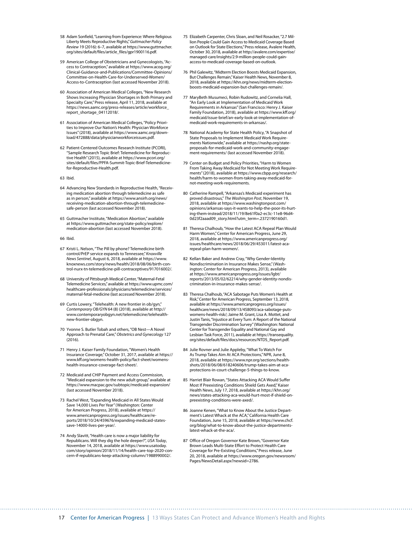- 58 Adam Sonfield, "Learning from Experience: Where Religious Liberty Meets Reproductive Rights," *Guttmacher Policy Review* 19 (2016): 6–7, available at [https://www.guttmacher.](https://www.guttmacher.org/sites/default/files/article_files/gpr1900116.pdf) [org/sites/default/files/article\\_files/gpr1900116.pdf](https://www.guttmacher.org/sites/default/files/article_files/gpr1900116.pdf).
- 59 American College of Obstetricians and Gynecologists, "Access to Contraception," available at [https://www.acog.org/](https://www.acog.org/Clinical-Guidance-and-Publications/Committee-Opinions/Committee-on-Health-Care-for-Underserved-Women/Access-to-Contraception) [Clinical-Guidance-and-Publications/Committee-Opinions/](https://www.acog.org/Clinical-Guidance-and-Publications/Committee-Opinions/Committee-on-Health-Care-for-Underserved-Women/Access-to-Contraception) [Committee-on-Health-Care-for-Underserved-Women/](https://www.acog.org/Clinical-Guidance-and-Publications/Committee-Opinions/Committee-on-Health-Care-for-Underserved-Women/Access-to-Contraception) [Access-to-Contraception](https://www.acog.org/Clinical-Guidance-and-Publications/Committee-Opinions/Committee-on-Health-Care-for-Underserved-Women/Access-to-Contraception) (last accessed November 2018).
- 60 Association of American Medical Colleges, "New Research Shows Increasing Physician Shortages in Both Primary and Specialty Care," Press release, April 11, 2018, available at [https://news.aamc.org/press-releases/article/workforce\\_](https://news.aamc.org/press-releases/article/workforce_report_shortage_04112018/) [report\\_shortage\\_04112018/.](https://news.aamc.org/press-releases/article/workforce_report_shortage_04112018/)
- 61 Association of American Medical Colleges, "Policy Priorities to Improve Our Nation's Health: Physician Workforce Issues" (2018), available at [https://www.aamc.org/down](https://www.aamc.org/download/472888/data/physicianworkforceissues.pdf)[load/472888/data/physicianworkforceissues.pdf.](https://www.aamc.org/download/472888/data/physicianworkforceissues.pdf)
- 62 Patient-Centered Outcomes Research Institute (PCORI), "Sample Research Topic Brief: Telemedicine for Reproductive Health" (2015), available at [https://www.pcori.org/](https://www.pcori.org/sites/default/files/PPFA-Summit-Topic-Brief-Telemedicine-for-Reproductive-Health.pdf) [sites/default/files/PPFA-Summit-Topic-Brief-Telemedicine](https://www.pcori.org/sites/default/files/PPFA-Summit-Topic-Brief-Telemedicine-for-Reproductive-Health.pdf)[for-Reproductive-Health.pdf](https://www.pcori.org/sites/default/files/PPFA-Summit-Topic-Brief-Telemedicine-for-Reproductive-Health.pdf).
- 63 Ibid.
- 64 Advancing New Standards in Reproductive Health, "Receiving medication abortion through telemedicine as safe as in person," available at [https://www.ansirh.org/news/](https://www.ansirh.org/news/receiving-medication-abortion-through-telemedicine-safe-person) [receiving-medication-abortion-through-telemedicine](https://www.ansirh.org/news/receiving-medication-abortion-through-telemedicine-safe-person)[safe-person](https://www.ansirh.org/news/receiving-medication-abortion-through-telemedicine-safe-person) (last accessed November 2018).
- 65 Guttmacher Institute, "Medication Abortion," available at [https://www.guttmacher.org/state-policy/explore/](https://www.guttmacher.org/state-policy/explore/medication-abortion) [medication-abortion](https://www.guttmacher.org/state-policy/explore/medication-abortion) (last accessed November 2018).
- 66 Ibid.
- 67 Kristi L. Nelson, "The Pill by phone? Telemedicine birth control/PrEP service expands to Tennessee," *Knoxville News Sentinel*, August 6, 2018, available at [https://www.](https://www.knoxnews.com/story/news/health/2018/08/06/birth-control-nurx-tn-telemedicine-pill-contraceptives/917016002/) [knoxnews.com/story/news/health/2018/08/06/birth-con](https://www.knoxnews.com/story/news/health/2018/08/06/birth-control-nurx-tn-telemedicine-pill-contraceptives/917016002/)[trol-nurx-tn-telemedicine-pill-contraceptives/917016002/.](https://www.knoxnews.com/story/news/health/2018/08/06/birth-control-nurx-tn-telemedicine-pill-contraceptives/917016002/)
- 68 University of Pittsburgh Medical Center, "Maternal-Fetal Telemedicine Services," available at [https://www.upmc.com/](https://www.upmc.com/healthcare-professionals/physicians/telemedicine/services/maternal-fetal-medicine) [healthcare-professionals/physicians/telemedicine/services/](https://www.upmc.com/healthcare-professionals/physicians/telemedicine/services/maternal-fetal-medicine) [maternal-fetal-medicine](https://www.upmc.com/healthcare-professionals/physicians/telemedicine/services/maternal-fetal-medicine) (last accessed November 2018).
- 69 Curtis Lowery, "Telehealth: A new frontier in ob/gyn," *Contemporary OB/GYN* 64 (8) (2018), available at [http://](http://www.contemporaryobgyn.net/telemedicine/telehealth-new-frontier-obgyn) [www.contemporaryobgyn.net/telemedicine/telehealth](http://www.contemporaryobgyn.net/telemedicine/telehealth-new-frontier-obgyn)[new-frontier-obgyn](http://www.contemporaryobgyn.net/telemedicine/telehealth-new-frontier-obgyn).
- 70 Yvonne S. Butler Tobah and others, "OB Nest—A Novel Approach to Prenatal Care," *Obstetrics and Gynecology* 127  $(2016)$
- 71 Henry J. Kaiser Family Foundation, "Women's Health Insurance Coverage," October 31, 2017, available at [https://](https://www.kff.org/womens-health-policy/fact-sheet/womens-health-insurance-coverage-fact-sheet/) [www.kff.org/womens-health-policy/fact-sheet/womens](https://www.kff.org/womens-health-policy/fact-sheet/womens-health-insurance-coverage-fact-sheet/)[health-insurance-coverage-fact-sheet/](https://www.kff.org/womens-health-policy/fact-sheet/womens-health-insurance-coverage-fact-sheet/).
- 72 Medicaid and CHIP Payment and Access Commission, "Medicaid expansion to the new adult group," available at <https://www.macpac.gov/subtopic/medicaid-expansion/> (last accessed November 2018).
- 73 Rachel West, "Expanding Medicaid in All States Would Save 14,000 Lives Per Year" (Washington: Center for American Progress, 2018), available at [https://](https://www.americanprogress.org/issues/healthcare/reports/2018/10/24/459676/expanding-medicaid-states-save-14000-lives-per-year/) [www.americanprogress.org/issues/healthcare/re](https://www.americanprogress.org/issues/healthcare/reports/2018/10/24/459676/expanding-medicaid-states-save-14000-lives-per-year/)[ports/2018/10/24/459676/expanding-medicaid-states](https://www.americanprogress.org/issues/healthcare/reports/2018/10/24/459676/expanding-medicaid-states-save-14000-lives-per-year/)[save-14000-lives-per-year/.](https://www.americanprogress.org/issues/healthcare/reports/2018/10/24/459676/expanding-medicaid-states-save-14000-lives-per-year/)
- 74 Andy Slavitt, "Health care is now a major liability for Republicans. Will they dig the hole deeper?", *USA Today*, November 14, 2018, available at [https://www.usatoday.](https://www.usatoday.com/story/opinion/2018/11/14/health-care-top-2020-concern-if-republicans-keep-attacking-column/1988990002/) [com/story/opinion/2018/11/14/health-care-top-2020-con](https://www.usatoday.com/story/opinion/2018/11/14/health-care-top-2020-concern-if-republicans-keep-attacking-column/1988990002/)[cern-if-republicans-keep-attacking-column/1988990002/](https://www.usatoday.com/story/opinion/2018/11/14/health-care-top-2020-concern-if-republicans-keep-attacking-column/1988990002/).
- 75 Elizabeth Carpenter, Chris Sloan, and Neil Rosacker, "2.7 Million People Could Gain Access to Medicaid Coverage Based on Outlook for State Elections," Press release, Avalere Health, October 30, 2018, available at [http://avalere.com/expertise/](http://avalere.com/expertise/managed-care/insights/2.9-million-people-could-gain-access-to-medicaid-coverage-based-on-outlook) [managed-care/insights/2.9-million-people-could-gain](http://avalere.com/expertise/managed-care/insights/2.9-million-people-could-gain-access-to-medicaid-coverage-based-on-outlook)[access-to-medicaid-coverage-based-on-outlook](http://avalere.com/expertise/managed-care/insights/2.9-million-people-could-gain-access-to-medicaid-coverage-based-on-outlook).
- 76 Phil Galewitz, "Midterm Election Boosts Medicaid Expansion, But Challenges Remain," Kaiser Health News, November 8, 2018, available at [https://khn.org/news/midterm-election](https://khn.org/news/midterm-election-boosts-medicaid-expansion-but-challenges-remain/)[boosts-medicaid-expansion-but-challenges-remain/.](https://khn.org/news/midterm-election-boosts-medicaid-expansion-but-challenges-remain/)
- 77 MaryBeth Musumeci, Robin Rudowitz, and Cornelia Hall, "An Early Look at Implementation of Medicaid Work Requirements in Arkansas" (San Francisco: Henry J. Kaiser Family Foundation, 2018), available at [https://www.kff.org/](https://www.kff.org/medicaid/issue-brief/an-early-look-at-implementation-of-medicaid-work-requirements-in-arkansas/) [medicaid/issue-brief/an-early-look-at-implementation-of](https://www.kff.org/medicaid/issue-brief/an-early-look-at-implementation-of-medicaid-work-requirements-in-arkansas/)[medicaid-work-requirements-in-arkansas/.](https://www.kff.org/medicaid/issue-brief/an-early-look-at-implementation-of-medicaid-work-requirements-in-arkansas/)
- 78 National Academy for State Health Policy, "A Snapshot of State Proposals to Implement Medicaid Work Requirements Nationwide," available at [https://nashp.org/state](https://nashp.org/state-proposals-for-medicaid-work-and-community-engagement-requirements/)[proposals-for-medicaid-work-and-community-engage](https://nashp.org/state-proposals-for-medicaid-work-and-community-engagement-requirements/)[ment-requirements/](https://nashp.org/state-proposals-for-medicaid-work-and-community-engagement-requirements/) (last accessed November 2018).
- 79 Center on Budget and Policy Priorities, "Harm to Women From Taking Away Medicaid for Not Meeting Work Requirements" (2018), available at [https://www.cbpp.org/research/](https://www.cbpp.org/research/health/harm-to-women-from-taking-away-medicaid-for-not-meeting-work-requirements) [health/harm-to-women-from-taking-away-medicaid-for](https://www.cbpp.org/research/health/harm-to-women-from-taking-away-medicaid-for-not-meeting-work-requirements)[not-meeting-work-requirements.](https://www.cbpp.org/research/health/harm-to-women-from-taking-away-medicaid-for-not-meeting-work-requirements)
- 80 Catherine Rampell, "Arkansas's Medicaid experiment has proved disastrous," *The Washington Post*, November 19, 2018, available at [https://www.washingtonpost.com/](https://www.washingtonpost.com/opinions/arkansas-says-it-wants-to-help-the-poor-its-hurting-them-instead/2018/11/19/8e61f0a2-ec3c-11e8-96d4-0d23f2aaad09_story.html?utm_term=.2372190160d1) [opinions/arkansas-says-it-wants-to-help-the-poor-its-hurt](https://www.washingtonpost.com/opinions/arkansas-says-it-wants-to-help-the-poor-its-hurting-them-instead/2018/11/19/8e61f0a2-ec3c-11e8-96d4-0d23f2aaad09_story.html?utm_term=.2372190160d1)[ing-them-instead/2018/11/19/8e61f0a2-ec3c-11e8-96d4-](https://www.washingtonpost.com/opinions/arkansas-says-it-wants-to-help-the-poor-its-hurting-them-instead/2018/11/19/8e61f0a2-ec3c-11e8-96d4-0d23f2aaad09_story.html?utm_term=.2372190160d1) [0d23f2aaad09\\_story.html?utm\\_term=.2372190160d1.](https://www.washingtonpost.com/opinions/arkansas-says-it-wants-to-help-the-poor-its-hurting-them-instead/2018/11/19/8e61f0a2-ec3c-11e8-96d4-0d23f2aaad09_story.html?utm_term=.2372190160d1)
- 81 Theresa Chalhoub, "How the Latest ACA Repeal Plan Would Harm Women," Center for American Progress, June 29, 2018, available at [https://www.americanprogress.org/](https://www.americanprogress.org/issues/healthcare/news/2018/06/29/453011/latest-aca-repeal-plan-harm-women/) [issues/healthcare/news/2018/06/29/453011/latest-aca](https://www.americanprogress.org/issues/healthcare/news/2018/06/29/453011/latest-aca-repeal-plan-harm-women/)[repeal-plan-harm-women/.](https://www.americanprogress.org/issues/healthcare/news/2018/06/29/453011/latest-aca-repeal-plan-harm-women/)
- 82 Kellan Baker and Andrew Cray, "Why Gender-Identity Nondiscrimination in Insurance Makes Sense," (Washington: Center for American Progress, 2013), available at [https://www.americanprogress.org/issues/lgbt/](https://www.americanprogress.org/issues/lgbt/reports/2013/05/02/62214/why-gender-identity-nondiscrimination-in-insurance-makes-sense/) [reports/2013/05/02/62214/why-gender-identity-nondis](https://www.americanprogress.org/issues/lgbt/reports/2013/05/02/62214/why-gender-identity-nondiscrimination-in-insurance-makes-sense/)[crimination-in-insurance-makes-sense/.](https://www.americanprogress.org/issues/lgbt/reports/2013/05/02/62214/why-gender-identity-nondiscrimination-in-insurance-makes-sense/)
- 83 Theresa Chalhoub, "ACA Sabotage Puts Women's Health at Risk," Center for American Progress, September 13, 2018, available at [https://www.americanprogress.org/issues/](https://www.americanprogress.org/issues/healthcare/news/2018/09/13/458093/aca-sabotage-puts-womens-health-risk/) [healthcare/news/2018/09/13/458093/aca-sabotage-puts](https://www.americanprogress.org/issues/healthcare/news/2018/09/13/458093/aca-sabotage-puts-womens-health-risk/)[womens-health-risk/;](https://www.americanprogress.org/issues/healthcare/news/2018/09/13/458093/aca-sabotage-puts-womens-health-risk/) Jaime M. Grant, Lisa A. Mottet, and Justin Tanis, "Injustice at Every Turn: A Report of the National Transgender Discrimination Survey" (Washington: National Center for Transgender Equality and National Gay and Lesbian Task Force, 2011), available at [https://transequality.](https://transequality.org/sites/default/files/docs/resources/NTDS_Report.pdf) [org/sites/default/files/docs/resources/NTDS\\_Report.pdf.](https://transequality.org/sites/default/files/docs/resources/NTDS_Report.pdf)
- 84 Julie Rovner and Julie Appleby, "What To Watch For As Trump Takes Aim At ACA Protections," NPR, June 8, 2018, available at [https://www.npr.org/sections/health](https://www.npr.org/sections/health-shots/2018/06/08/618240606/trump-takes-aim-at-aca-protections-in-court-challenge-5-things-to-know)[shots/2018/06/08/618240606/trump-takes-aim-at-aca](https://www.npr.org/sections/health-shots/2018/06/08/618240606/trump-takes-aim-at-aca-protections-in-court-challenge-5-things-to-know)[protections-in-court-challenge-5-things-to-know.](https://www.npr.org/sections/health-shots/2018/06/08/618240606/trump-takes-aim-at-aca-protections-in-court-challenge-5-things-to-know)
- 85 Harriet Blair Rowan, "States Attacking ACA Would Suffer Most If Preexisting Conditions Shield Gets Axed," Kaiser Health News, July 17, 2018, available at [https://khn.org/](https://khn.org/news/states-attacking-aca-would-hurt-most-if-shield-on-preexisting-conditions-were-axed/) [news/states-attacking-aca-would-hurt-most-if-shield-on](https://khn.org/news/states-attacking-aca-would-hurt-most-if-shield-on-preexisting-conditions-were-axed/)[preexisting-conditions-were-axed/.](https://khn.org/news/states-attacking-aca-would-hurt-most-if-shield-on-preexisting-conditions-were-axed/)
- 86 Joanne Kenen, "What to Know About the Justice Department's Latest Whack at the ACA," California Health Care Foundation, June 15, 2018, available at [https://www.chcf.](https://www.chcf.org/blog/what-to-know-about-the-justice-departments-latest-whack-at-the-aca/) [org/blog/what-to-know-about-the-justice-departments](https://www.chcf.org/blog/what-to-know-about-the-justice-departments-latest-whack-at-the-aca/)[latest-whack-at-the-aca/.](https://www.chcf.org/blog/what-to-know-about-the-justice-departments-latest-whack-at-the-aca/)
- 87 Office of Oregon Governor Kate Brown, "Governor Kate Brown Leads Multi-State Effort to Protect Health Care Coverage for Pre-Existing Conditions," Press release, June 20, 2018, available at [https://www.oregon.gov/newsroom/](https://www.oregon.gov/newsroom/Pages/NewsDetail.aspx?newsid=2786) [Pages/NewsDetail.aspx?newsid=2786.](https://www.oregon.gov/newsroom/Pages/NewsDetail.aspx?newsid=2786)